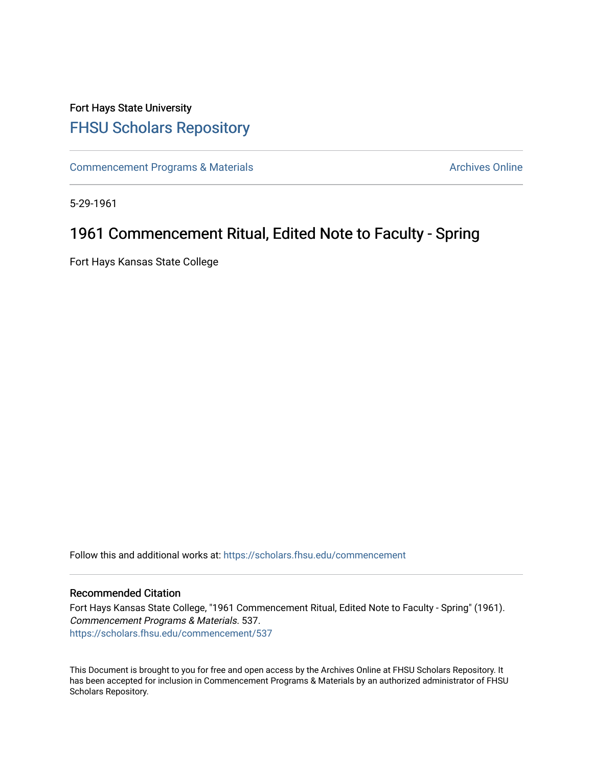## Fort Hays State University [FHSU Scholars Repository](https://scholars.fhsu.edu/)

[Commencement Programs & Materials](https://scholars.fhsu.edu/commencement) **Archives Online** Archives Online

5-29-1961

## 1961 Commencement Ritual, Edited Note to Faculty - Spring

Fort Hays Kansas State College

Follow this and additional works at: [https://scholars.fhsu.edu/commencement](https://scholars.fhsu.edu/commencement?utm_source=scholars.fhsu.edu%2Fcommencement%2F537&utm_medium=PDF&utm_campaign=PDFCoverPages)

## Recommended Citation

Fort Hays Kansas State College, "1961 Commencement Ritual, Edited Note to Faculty - Spring" (1961). Commencement Programs & Materials. 537. [https://scholars.fhsu.edu/commencement/537](https://scholars.fhsu.edu/commencement/537?utm_source=scholars.fhsu.edu%2Fcommencement%2F537&utm_medium=PDF&utm_campaign=PDFCoverPages)

This Document is brought to you for free and open access by the Archives Online at FHSU Scholars Repository. It has been accepted for inclusion in Commencement Programs & Materials by an authorized administrator of FHSU Scholars Repository.